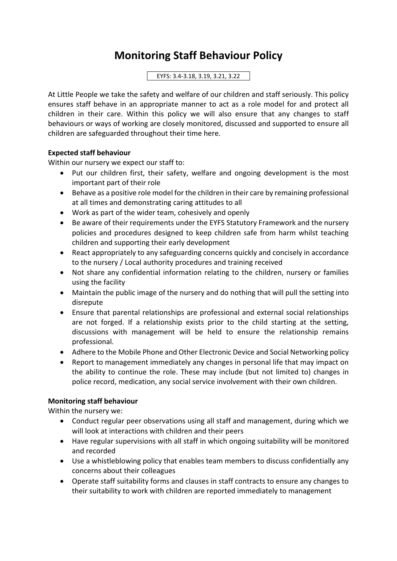## **Monitoring Staff Behaviour Policy**

EYFS: 3.4-3.18, 3.19, 3.21, 3.22

At Little People we take the safety and welfare of our children and staff seriously. This policy ensures staff behave in an appropriate manner to act as a role model for and protect all children in their care. Within this policy we will also ensure that any changes to staff behaviours or ways of working are closely monitored, discussed and supported to ensure all children are safeguarded throughout their time here.

## **Expected staff behaviour**

Within our nursery we expect our staff to:

- Put our children first, their safety, welfare and ongoing development is the most important part of their role
- Behave as a positive role model for the children in their care by remaining professional at all times and demonstrating caring attitudes to all
- Work as part of the wider team, cohesively and openly
- Be aware of their requirements under the EYFS Statutory Framework and the nursery policies and procedures designed to keep children safe from harm whilst teaching children and supporting their early development
- React appropriately to any safeguarding concerns quickly and concisely in accordance to the nursery / Local authority procedures and training received
- Not share any confidential information relating to the children, nursery or families using the facility
- Maintain the public image of the nursery and do nothing that will pull the setting into disrepute
- Ensure that parental relationships are professional and external social relationships are not forged. If a relationship exists prior to the child starting at the setting, discussions with management will be held to ensure the relationship remains professional.
- Adhere to the Mobile Phone and Other Electronic Device and Social Networking policy
- Report to management immediately any changes in personal life that may impact on the ability to continue the role. These may include (but not limited to) changes in police record, medication, any social service involvement with their own children.

## **Monitoring staff behaviour**

Within the nursery we:

- Conduct regular peer observations using all staff and management, during which we will look at interactions with children and their peers
- Have regular supervisions with all staff in which ongoing suitability will be monitored and recorded
- Use a whistleblowing policy that enables team members to discuss confidentially any concerns about their colleagues
- Operate staff suitability forms and clauses in staff contracts to ensure any changes to their suitability to work with children are reported immediately to management